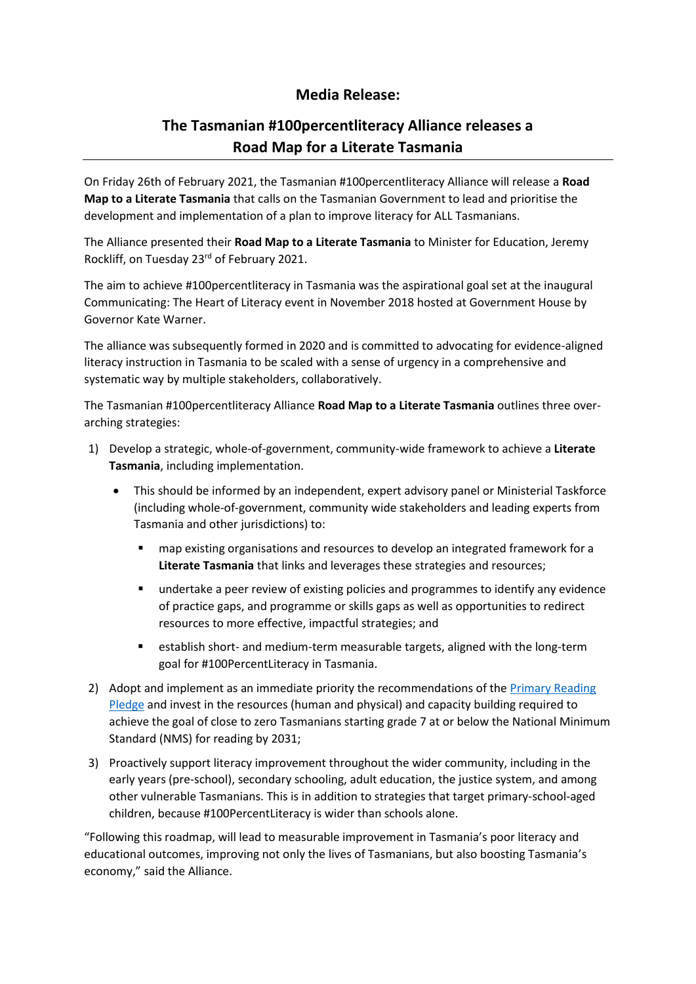## **Media Release:**

# **The Tasmanian #100percentliteracy Alliance releases a Road Map for a Literate Tasmania**

On Friday 26th of February 2021, the Tasmanian #100percentliteracy Alliance will release a **Road Map to a Literate Tasmania** that calls on the Tasmanian Government to lead and prioritise the development and implementation of a plan to improve literacy for ALL Tasmanians.

The Alliance presented their **Road Map to a Literate Tasmania** to Minister for Education, Jeremy Rockliff, on Tuesday 23<sup>rd</sup> of February 2021.

The aim to achieve #100percentliteracy in Tasmania was the aspirational goal set at the inaugural Communicating: The Heart of Literacy event in November 2018 hosted at Government House by Governor Kate Warner.

The alliance was subsequently formed in 2020 and is committed to advocating for evidence-aligned literacy instruction in Tasmania to be scaled with a sense of urgency in a comprehensive and systematic way by multiple stakeholders, collaboratively.

The Tasmanian #100percentliteracy Alliance **Road Map to a Literate Tasmania** outlines three overarching strategies:

- 1) Develop a strategic, whole-of-government, community-wide framework to achieve a **Literate Tasmania**, including implementation.
	- This should be informed by an independent, expert advisory panel or Ministerial Taskforce (including whole-of-government, community wide stakeholders and leading experts from Tasmania and other jurisdictions) to:
		- map existing organisations and resources to develop an integrated framework for a **Literate Tasmania** that links and leverages these strategies and resources;
		- undertake a peer review of existing policies and programmes to identify any evidence of practice gaps, and programme or skills gaps as well as opportunities to redirect resources to more effective, impactful strategies; and
		- establish short- and medium-term measurable targets, aligned with the long-term goal for #100PercentLiteracy in Tasmania.
- 2) Adopt and implement as an immediate priority the recommendations of the [Primary Reading](https://fivefromfive.com.au/primary-reading-pledge/)  [Pledge](https://fivefromfive.com.au/primary-reading-pledge/) and invest in the resources (human and physical) and capacity building required to achieve the goal of close to zero Tasmanians starting grade 7 at or below the National Minimum Standard (NMS) for reading by 2031;
- 3) Proactively support literacy improvement throughout the wider community, including in the early years (pre-school), secondary schooling, adult education, the justice system, and among other vulnerable Tasmanians. This is in addition to strategies that target primary-school-aged children, because #100PercentLiteracy is wider than schools alone.

"Following this roadmap, will lead to measurable improvement in Tasmania's poor literacy and educational outcomes, improving not only the lives of Tasmanians, but also boosting Tasmania's economy," said the Alliance.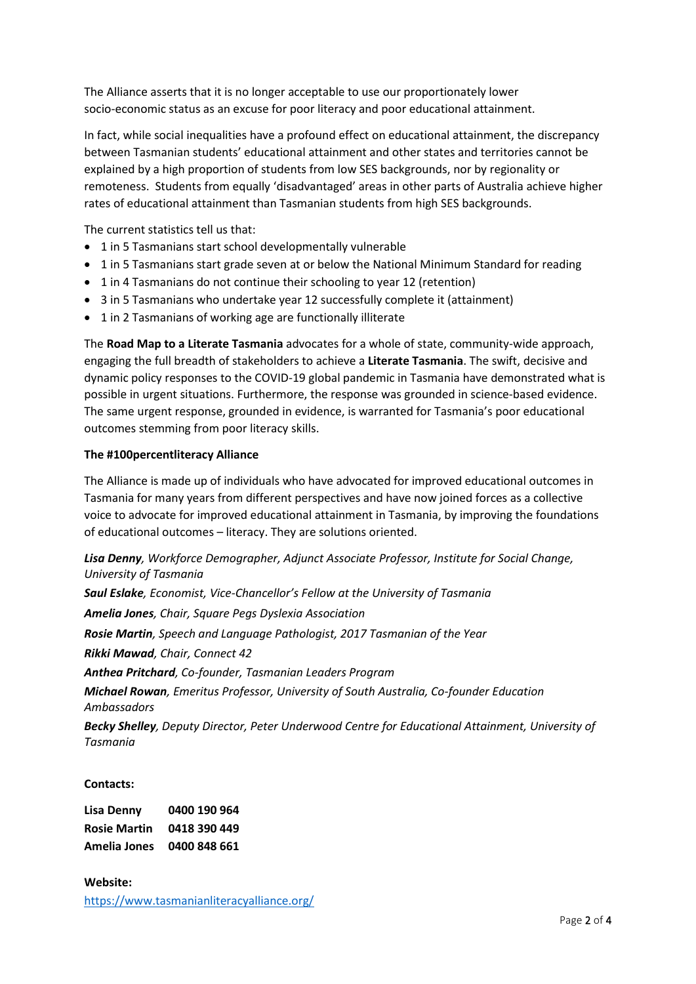The Alliance asserts that it is no longer acceptable to use our proportionately lower socio-economic status as an excuse for poor literacy and poor educational attainment.

In fact, while social inequalities have a profound effect on educational attainment, the discrepancy between Tasmanian students' educational attainment and other states and territories cannot be explained by a high proportion of students from low SES backgrounds, nor by regionality or remoteness. Students from equally 'disadvantaged' areas in other parts of Australia achieve higher rates of educational attainment than Tasmanian students from high SES backgrounds.

The current statistics tell us that:

- 1 in 5 Tasmanians start school developmentally vulnerable
- 1 in 5 Tasmanians start grade seven at or below the National Minimum Standard for reading
- 1 in 4 Tasmanians do not continue their schooling to year 12 (retention)
- 3 in 5 Tasmanians who undertake year 12 successfully complete it (attainment)
- 1 in 2 Tasmanians of working age are functionally illiterate

The **Road Map to a Literate Tasmania** advocates for a whole of state, community-wide approach, engaging the full breadth of stakeholders to achieve a **Literate Tasmania**. The swift, decisive and dynamic policy responses to the COVID-19 global pandemic in Tasmania have demonstrated what is possible in urgent situations. Furthermore, the response was grounded in science-based evidence. The same urgent response, grounded in evidence, is warranted for Tasmania's poor educational outcomes stemming from poor literacy skills.

#### **The #100percentliteracy Alliance**

The Alliance is made up of individuals who have advocated for improved educational outcomes in Tasmania for many years from different perspectives and have now joined forces as a collective voice to advocate for improved educational attainment in Tasmania, by improving the foundations of educational outcomes – literacy. They are solutions oriented.

## *Lisa Denny, Workforce Demographer, Adjunct Associate Professor, Institute for Social Change, University of Tasmania*

*Saul Eslake, Economist, Vice-Chancellor's Fellow at the University of Tasmania Amelia Jones, Chair, Square Pegs Dyslexia Association Rosie Martin, Speech and Language Pathologist, 2017 Tasmanian of the Year Rikki Mawad, Chair, Connect 42 Anthea Pritchard, Co-founder, Tasmanian Leaders Program Michael Rowan, Emeritus Professor, University of South Australia, Co-founder Education Ambassadors Becky Shelley, Deputy Director, Peter Underwood Centre for Educational Attainment, University of Tasmania*

#### **Contacts:**

| Lisa Denny          | 0400 190 964 |
|---------------------|--------------|
| <b>Rosie Martin</b> | 0418 390 449 |
| Amelia Jones        | 0400 848 661 |

#### **Website:**

<https://www.tasmanianliteracyalliance.org/>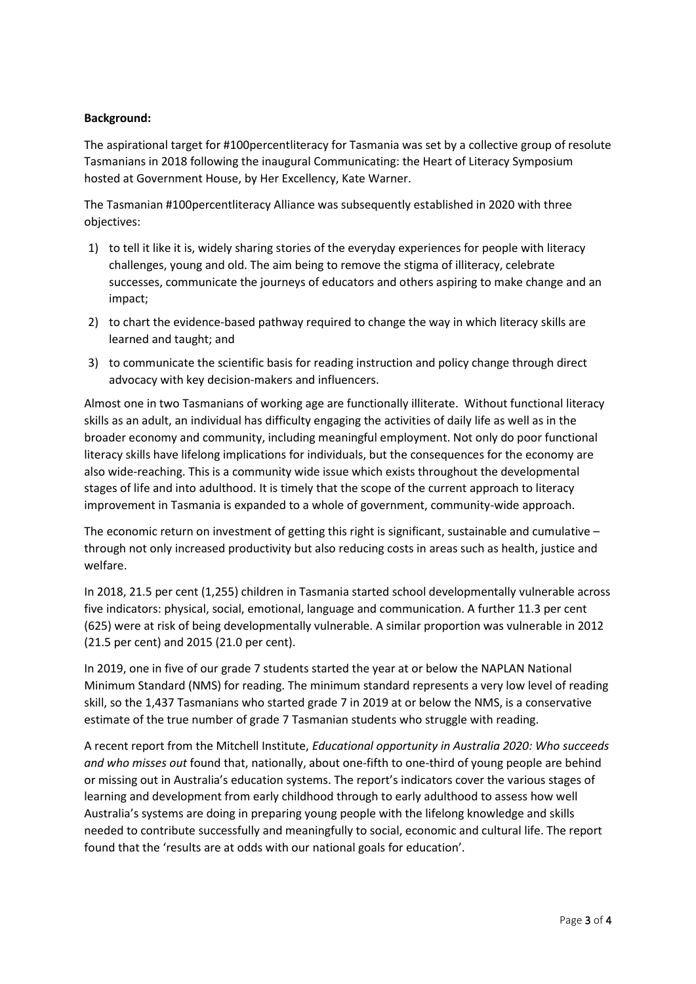### **Background:**

The aspirational target for #100percentliteracy for Tasmania was set by a collective group of resolute Tasmanians in 2018 following the inaugural Communicating: the Heart of Literacy Symposium hosted at Government House, by Her Excellency, Kate Warner.

The Tasmanian #100percentliteracy Alliance was subsequently established in 2020 with three objectives:

- 1) to tell it like it is, widely sharing stories of the everyday experiences for people with literacy challenges, young and old. The aim being to remove the stigma of illiteracy, celebrate successes, communicate the journeys of educators and others aspiring to make change and an impact;
- 2) to chart the evidence-based pathway required to change the way in which literacy skills are learned and taught; and
- 3) to communicate the scientific basis for reading instruction and policy change through direct advocacy with key decision-makers and influencers.

Almost one in two Tasmanians of working age are functionally illiterate. Without functional literacy skills as an adult, an individual has difficulty engaging the activities of daily life as well as in the broader economy and community, including meaningful employment. Not only do poor functional literacy skills have lifelong implications for individuals, but the consequences for the economy are also wide-reaching. This is a community wide issue which exists throughout the developmental stages of life and into adulthood. It is timely that the scope of the current approach to literacy improvement in Tasmania is expanded to a whole of government, community-wide approach.

The economic return on investment of getting this right is significant, sustainable and cumulative – through not only increased productivity but also reducing costs in areas such as health, justice and welfare.

In 2018, 21.5 per cent (1,255) children in Tasmania started school developmentally vulnerable across five indicators: physical, social, emotional, language and communication. A further 11.3 per cent (625) were at risk of being developmentally vulnerable. A similar proportion was vulnerable in 2012 (21.5 per cent) and 2015 (21.0 per cent).

In 2019, one in five of our grade 7 students started the year at or below the NAPLAN National Minimum Standard (NMS) for reading. The minimum standard represents a very low level of reading skill, so the 1,437 Tasmanians who started grade 7 in 2019 at or below the NMS, is a conservative estimate of the true number of grade 7 Tasmanian students who struggle with reading.

A recent report from the Mitchell Institute, *Educational opportunity in Australia 2020: Who succeeds and who misses out* found that, nationally, about one-fifth to one-third of young people are behind or missing out in Australia's education systems. The report's indicators cover the various stages of learning and development from early childhood through to early adulthood to assess how well Australia's systems are doing in preparing young people with the lifelong knowledge and skills needed to contribute successfully and meaningfully to social, economic and cultural life. The report found that the 'results are at odds with our national goals for education'.